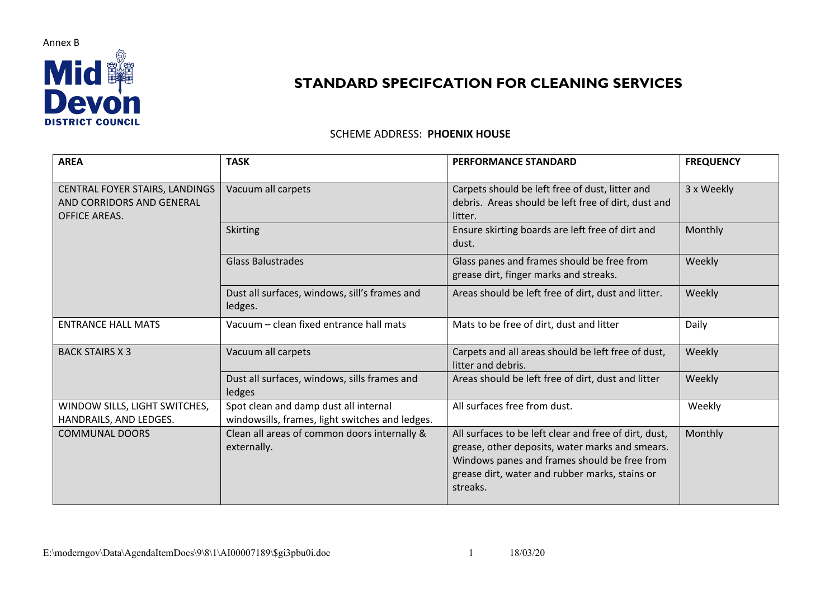

## **STANDARD SPECIFCATION FOR CLEANING SERVICES**

## SCHEME ADDRESS: **PHOENIX HOUSE**

| <b>AREA</b>                                                                         | <b>TASK</b>                                                                              | <b>PERFORMANCE STANDARD</b>                                                                                                                                                                                            | <b>FREQUENCY</b> |
|-------------------------------------------------------------------------------------|------------------------------------------------------------------------------------------|------------------------------------------------------------------------------------------------------------------------------------------------------------------------------------------------------------------------|------------------|
| CENTRAL FOYER STAIRS, LANDINGS<br>AND CORRIDORS AND GENERAL<br><b>OFFICE AREAS.</b> | Vacuum all carpets                                                                       | Carpets should be left free of dust, litter and<br>debris. Areas should be left free of dirt, dust and<br>litter.                                                                                                      | 3 x Weekly       |
|                                                                                     | <b>Skirting</b>                                                                          | Ensure skirting boards are left free of dirt and<br>dust.                                                                                                                                                              | Monthly          |
|                                                                                     | <b>Glass Balustrades</b>                                                                 | Glass panes and frames should be free from<br>grease dirt, finger marks and streaks.                                                                                                                                   | Weekly           |
|                                                                                     | Dust all surfaces, windows, sill's frames and<br>ledges.                                 | Areas should be left free of dirt, dust and litter.                                                                                                                                                                    | Weekly           |
| <b>ENTRANCE HALL MATS</b>                                                           | Vacuum - clean fixed entrance hall mats                                                  | Mats to be free of dirt, dust and litter                                                                                                                                                                               | Daily            |
| <b>BACK STAIRS X 3</b>                                                              | Vacuum all carpets                                                                       | Carpets and all areas should be left free of dust,<br>litter and debris.                                                                                                                                               | Weekly           |
|                                                                                     | Dust all surfaces, windows, sills frames and<br>ledges                                   | Areas should be left free of dirt, dust and litter                                                                                                                                                                     | Weekly           |
| WINDOW SILLS, LIGHT SWITCHES,<br>HANDRAILS, AND LEDGES.                             | Spot clean and damp dust all internal<br>windowsills, frames, light switches and ledges. | All surfaces free from dust.                                                                                                                                                                                           | Weekly           |
| <b>COMMUNAL DOORS</b>                                                               | Clean all areas of common doors internally &<br>externally.                              | All surfaces to be left clear and free of dirt, dust,<br>grease, other deposits, water marks and smears.<br>Windows panes and frames should be free from<br>grease dirt, water and rubber marks, stains or<br>streaks. | Monthly          |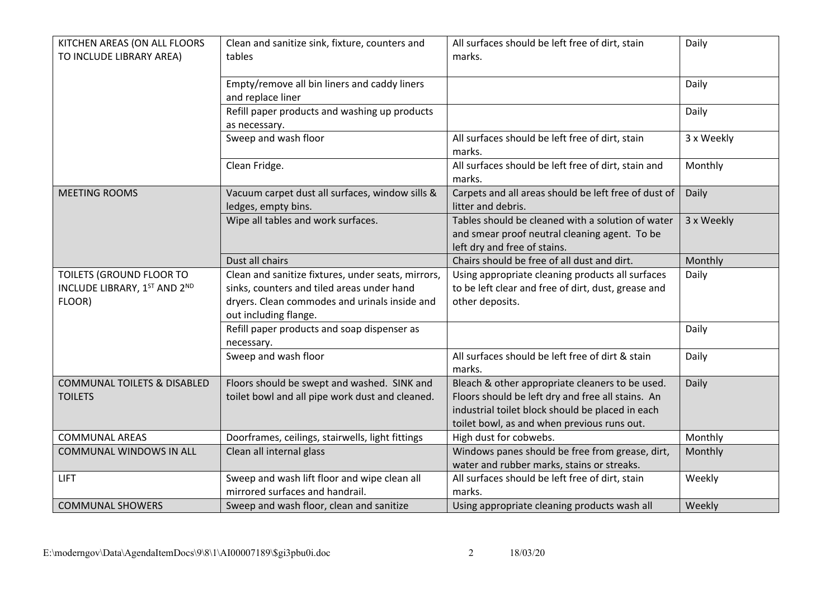| KITCHEN AREAS (ON ALL FLOORS<br>TO INCLUDE LIBRARY AREA)           | Clean and sanitize sink, fixture, counters and<br>tables                                                                                                                   | All surfaces should be left free of dirt, stain<br>marks.                                                                                                                                               | Daily      |
|--------------------------------------------------------------------|----------------------------------------------------------------------------------------------------------------------------------------------------------------------------|---------------------------------------------------------------------------------------------------------------------------------------------------------------------------------------------------------|------------|
|                                                                    | Empty/remove all bin liners and caddy liners<br>and replace liner                                                                                                          |                                                                                                                                                                                                         | Daily      |
|                                                                    | Refill paper products and washing up products<br>as necessary.                                                                                                             |                                                                                                                                                                                                         | Daily      |
|                                                                    | Sweep and wash floor                                                                                                                                                       | All surfaces should be left free of dirt, stain<br>marks.                                                                                                                                               | 3 x Weekly |
|                                                                    | Clean Fridge.                                                                                                                                                              | All surfaces should be left free of dirt, stain and<br>marks.                                                                                                                                           | Monthly    |
| <b>MEETING ROOMS</b>                                               | Vacuum carpet dust all surfaces, window sills &<br>ledges, empty bins.                                                                                                     | Carpets and all areas should be left free of dust of<br>litter and debris.                                                                                                                              | Daily      |
|                                                                    | Wipe all tables and work surfaces.                                                                                                                                         | Tables should be cleaned with a solution of water<br>and smear proof neutral cleaning agent. To be<br>left dry and free of stains.                                                                      | 3 x Weekly |
|                                                                    | Dust all chairs                                                                                                                                                            | Chairs should be free of all dust and dirt.                                                                                                                                                             | Monthly    |
| TOILETS (GROUND FLOOR TO<br>INCLUDE LIBRARY, 1ST AND 2ND<br>FLOOR) | Clean and sanitize fixtures, under seats, mirrors,<br>sinks, counters and tiled areas under hand<br>dryers. Clean commodes and urinals inside and<br>out including flange. | Using appropriate cleaning products all surfaces<br>to be left clear and free of dirt, dust, grease and<br>other deposits.                                                                              | Daily      |
|                                                                    | Refill paper products and soap dispenser as<br>necessary.                                                                                                                  |                                                                                                                                                                                                         | Daily      |
|                                                                    | Sweep and wash floor                                                                                                                                                       | All surfaces should be left free of dirt & stain<br>marks.                                                                                                                                              | Daily      |
| <b>COMMUNAL TOILETS &amp; DISABLED</b><br><b>TOILETS</b>           | Floors should be swept and washed. SINK and<br>toilet bowl and all pipe work dust and cleaned.                                                                             | Bleach & other appropriate cleaners to be used.<br>Floors should be left dry and free all stains. An<br>industrial toilet block should be placed in each<br>toilet bowl, as and when previous runs out. | Daily      |
| <b>COMMUNAL AREAS</b>                                              | Doorframes, ceilings, stairwells, light fittings                                                                                                                           | High dust for cobwebs.                                                                                                                                                                                  | Monthly    |
| <b>COMMUNAL WINDOWS IN ALL</b>                                     | Clean all internal glass                                                                                                                                                   | Windows panes should be free from grease, dirt,<br>water and rubber marks, stains or streaks.                                                                                                           | Monthly    |
| <b>LIFT</b>                                                        | Sweep and wash lift floor and wipe clean all<br>mirrored surfaces and handrail.                                                                                            | All surfaces should be left free of dirt, stain<br>marks.                                                                                                                                               | Weekly     |
| <b>COMMUNAL SHOWERS</b>                                            | Sweep and wash floor, clean and sanitize                                                                                                                                   | Using appropriate cleaning products wash all                                                                                                                                                            | Weekly     |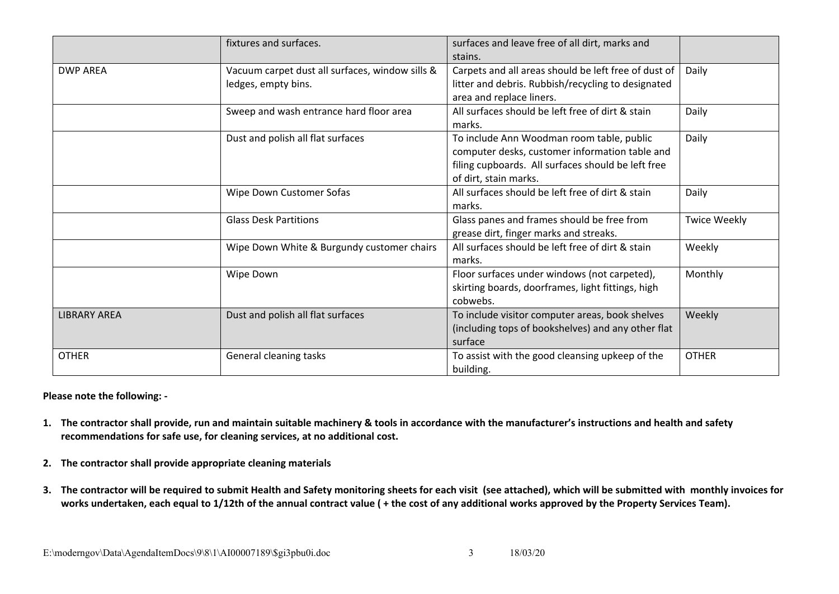|                     | fixtures and surfaces.                          | surfaces and leave free of all dirt, marks and       |                     |
|---------------------|-------------------------------------------------|------------------------------------------------------|---------------------|
|                     |                                                 | stains.                                              |                     |
| <b>DWP AREA</b>     | Vacuum carpet dust all surfaces, window sills & | Carpets and all areas should be left free of dust of | Daily               |
|                     | ledges, empty bins.                             | litter and debris. Rubbish/recycling to designated   |                     |
|                     |                                                 | area and replace liners.                             |                     |
|                     | Sweep and wash entrance hard floor area         | All surfaces should be left free of dirt & stain     | Daily               |
|                     |                                                 | marks.                                               |                     |
|                     | Dust and polish all flat surfaces               | To include Ann Woodman room table, public            | Daily               |
|                     |                                                 | computer desks, customer information table and       |                     |
|                     |                                                 | filing cupboards. All surfaces should be left free   |                     |
|                     |                                                 | of dirt, stain marks.                                |                     |
|                     | Wipe Down Customer Sofas                        | All surfaces should be left free of dirt & stain     | Daily               |
|                     |                                                 | marks.                                               |                     |
|                     | <b>Glass Desk Partitions</b>                    | Glass panes and frames should be free from           | <b>Twice Weekly</b> |
|                     |                                                 | grease dirt, finger marks and streaks.               |                     |
|                     | Wipe Down White & Burgundy customer chairs      | All surfaces should be left free of dirt & stain     | Weekly              |
|                     |                                                 | marks.                                               |                     |
|                     | Wipe Down                                       | Floor surfaces under windows (not carpeted),         | Monthly             |
|                     |                                                 | skirting boards, doorframes, light fittings, high    |                     |
|                     |                                                 | cobwebs.                                             |                     |
| <b>LIBRARY AREA</b> | Dust and polish all flat surfaces               | To include visitor computer areas, book shelves      | Weekly              |
|                     |                                                 | (including tops of bookshelves) and any other flat   |                     |
|                     |                                                 | surface                                              |                     |
| <b>OTHER</b>        | General cleaning tasks                          | To assist with the good cleansing upkeep of the      | <b>OTHER</b>        |
|                     |                                                 | building.                                            |                     |

**Please note the following: -**

- 1. The contractor shall provide, run and maintain suitable machinery & tools in accordance with the manufacturer's instructions and health and safety **recommendations for safe use, for cleaning services, at no additional cost.**
- **2. The contractor shall provide appropriate cleaning materials**
- 3. The contractor will be required to submit Health and Safety monitoring sheets for each visit (see attached), which will be submitted with monthly invoices for works undertaken, each equal to 1/12th of the annual contract value ( + the cost of any additional works approved by the Property Services Team).